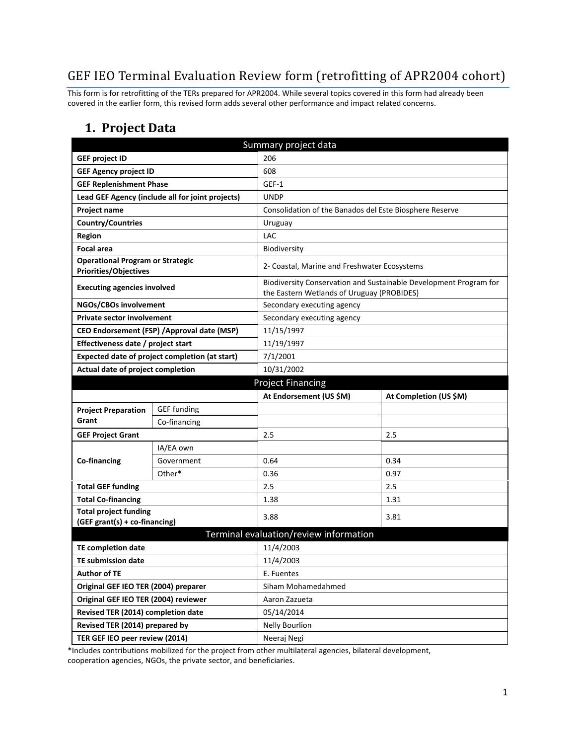# GEF IEO Terminal Evaluation Review form (retrofitting of APR2004 cohort)

This form is for retrofitting of the TERs prepared for APR2004. While several topics covered in this form had already been covered in the earlier form, this revised form adds several other performance and impact related concerns.

### **1. Project Data**

| Summary project data                                                    |                                                  |                                                         |                                                                   |  |
|-------------------------------------------------------------------------|--------------------------------------------------|---------------------------------------------------------|-------------------------------------------------------------------|--|
| <b>GEF project ID</b>                                                   |                                                  | 206                                                     |                                                                   |  |
| <b>GEF Agency project ID</b>                                            |                                                  | 608                                                     |                                                                   |  |
| <b>GEF Replenishment Phase</b>                                          |                                                  | GEF-1                                                   |                                                                   |  |
|                                                                         | Lead GEF Agency (include all for joint projects) | <b>UNDP</b>                                             |                                                                   |  |
| Project name                                                            |                                                  | Consolidation of the Banados del Este Biosphere Reserve |                                                                   |  |
| <b>Country/Countries</b>                                                |                                                  | Uruguay                                                 |                                                                   |  |
| <b>Region</b>                                                           |                                                  | LAC                                                     |                                                                   |  |
| <b>Focal area</b>                                                       |                                                  | Biodiversity                                            |                                                                   |  |
| <b>Operational Program or Strategic</b><br><b>Priorities/Objectives</b> |                                                  | 2- Coastal, Marine and Freshwater Ecosystems            |                                                                   |  |
| <b>Executing agencies involved</b>                                      |                                                  | the Eastern Wetlands of Uruguay (PROBIDES)              | Biodiversity Conservation and Sustainable Development Program for |  |
| NGOs/CBOs involvement                                                   |                                                  | Secondary executing agency                              |                                                                   |  |
| <b>Private sector involvement</b>                                       |                                                  | Secondary executing agency                              |                                                                   |  |
|                                                                         | CEO Endorsement (FSP) / Approval date (MSP)      | 11/15/1997                                              |                                                                   |  |
| Effectiveness date / project start                                      |                                                  | 11/19/1997                                              |                                                                   |  |
|                                                                         | Expected date of project completion (at start)   | 7/1/2001                                                |                                                                   |  |
| Actual date of project completion                                       |                                                  | 10/31/2002                                              |                                                                   |  |
| <b>Project Financing</b>                                                |                                                  |                                                         |                                                                   |  |
|                                                                         |                                                  | At Endorsement (US \$M)                                 | At Completion (US \$M)                                            |  |
| <b>Project Preparation</b>                                              | <b>GEF funding</b>                               |                                                         |                                                                   |  |
| Grant                                                                   | Co-financing                                     |                                                         |                                                                   |  |
| <b>GEF Project Grant</b>                                                |                                                  | 2.5                                                     | 2.5                                                               |  |
|                                                                         | IA/EA own                                        |                                                         |                                                                   |  |
| Co-financing                                                            | Government                                       | 0.64                                                    | 0.34                                                              |  |
|                                                                         | Other*                                           | 0.36<br>0.97                                            |                                                                   |  |
| <b>Total GEF funding</b>                                                |                                                  | 2.5                                                     | 2.5                                                               |  |
| <b>Total Co-financing</b>                                               |                                                  | 1.38                                                    | 1.31                                                              |  |
| <b>Total project funding</b><br>(GEF grant(s) + co-financing)           |                                                  | 3.88                                                    | 3.81                                                              |  |
| Terminal evaluation/review information                                  |                                                  |                                                         |                                                                   |  |
| <b>TE completion date</b>                                               |                                                  | 11/4/2003                                               |                                                                   |  |
| <b>TE submission date</b>                                               |                                                  | 11/4/2003                                               |                                                                   |  |
| <b>Author of TE</b>                                                     |                                                  | E. Fuentes                                              |                                                                   |  |
| Original GEF IEO TER (2004) preparer                                    |                                                  | Siham Mohamedahmed                                      |                                                                   |  |
|                                                                         |                                                  |                                                         |                                                                   |  |
| Original GEF IEO TER (2004) reviewer                                    |                                                  | Aaron Zazueta                                           |                                                                   |  |
| Revised TER (2014) completion date                                      |                                                  | 05/14/2014                                              |                                                                   |  |
| Revised TER (2014) prepared by                                          |                                                  | <b>Nelly Bourlion</b>                                   |                                                                   |  |

\*Includes contributions mobilized for the project from other multilateral agencies, bilateral development, cooperation agencies, NGOs, the private sector, and beneficiaries.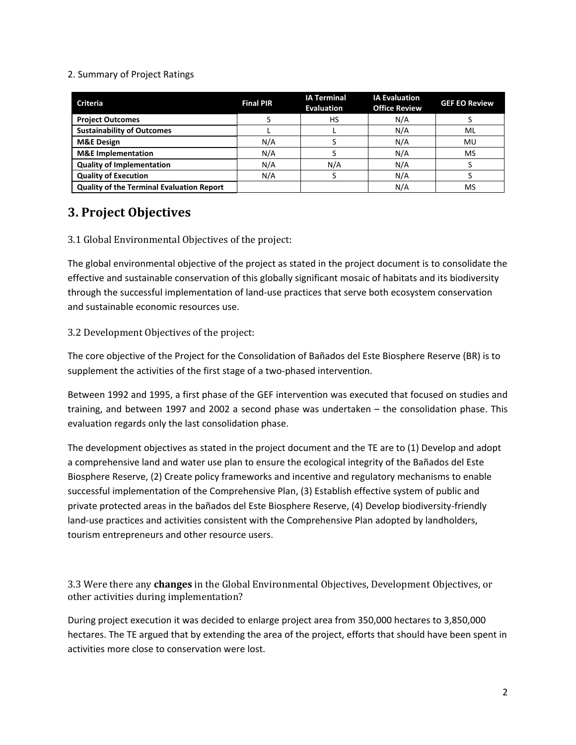#### 2. Summary of Project Ratings

| <b>Criteria</b>                                  | <b>Final PIR</b> | <b>IA Terminal</b><br><b>Evaluation</b> | <b>IA Evaluation</b><br><b>Office Review</b> | <b>GEF EO Review</b> |
|--------------------------------------------------|------------------|-----------------------------------------|----------------------------------------------|----------------------|
| <b>Project Outcomes</b>                          |                  | <b>HS</b>                               | N/A                                          |                      |
| <b>Sustainability of Outcomes</b>                |                  |                                         | N/A                                          | ML                   |
| <b>M&amp;E Design</b>                            | N/A              |                                         | N/A                                          | MU                   |
| <b>M&amp;E</b> Implementation                    | N/A              |                                         | N/A                                          | MS                   |
| <b>Quality of Implementation</b>                 | N/A              | N/A                                     | N/A                                          |                      |
| <b>Quality of Execution</b>                      | N/A              |                                         | N/A                                          |                      |
| <b>Quality of the Terminal Evaluation Report</b> |                  |                                         | N/A                                          | MS                   |

## **3. Project Objectives**

3.1 Global Environmental Objectives of the project:

The global environmental objective of the project as stated in the project document is to consolidate the effective and sustainable conservation of this globally significant mosaic of habitats and its biodiversity through the successful implementation of land-use practices that serve both ecosystem conservation and sustainable economic resources use.

#### 3.2 Development Objectives of the project:

The core objective of the Project for the Consolidation of Bañados del Este Biosphere Reserve (BR) is to supplement the activities of the first stage of a two-phased intervention.

Between 1992 and 1995, a first phase of the GEF intervention was executed that focused on studies and training, and between 1997 and 2002 a second phase was undertaken – the consolidation phase. This evaluation regards only the last consolidation phase.

The development objectives as stated in the project document and the TE are to (1) Develop and adopt a comprehensive land and water use plan to ensure the ecological integrity of the Bañados del Este Biosphere Reserve, (2) Create policy frameworks and incentive and regulatory mechanisms to enable successful implementation of the Comprehensive Plan, (3) Establish effective system of public and private protected areas in the bañados del Este Biosphere Reserve, (4) Develop biodiversity-friendly land-use practices and activities consistent with the Comprehensive Plan adopted by landholders, tourism entrepreneurs and other resource users.

3.3 Were there any **changes** in the Global Environmental Objectives, Development Objectives, or other activities during implementation?

During project execution it was decided to enlarge project area from 350,000 hectares to 3,850,000 hectares. The TE argued that by extending the area of the project, efforts that should have been spent in activities more close to conservation were lost.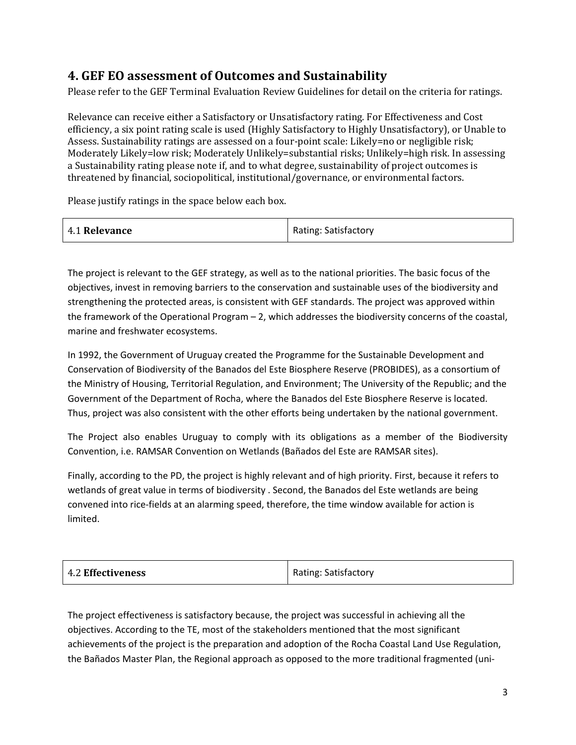## **4. GEF EO assessment of Outcomes and Sustainability**

Please refer to the GEF Terminal Evaluation Review Guidelines for detail on the criteria for ratings.

Relevance can receive either a Satisfactory or Unsatisfactory rating. For Effectiveness and Cost efficiency, a six point rating scale is used (Highly Satisfactory to Highly Unsatisfactory), or Unable to Assess. Sustainability ratings are assessed on a four-point scale: Likely=no or negligible risk; Moderately Likely=low risk; Moderately Unlikely=substantial risks; Unlikely=high risk. In assessing a Sustainability rating please note if, and to what degree, sustainability of project outcomes is threatened by financial, sociopolitical, institutional/governance, or environmental factors.

Please justify ratings in the space below each box.

| 4.1 Relevance | <b>Rating: Satisfactory</b> |
|---------------|-----------------------------|
|---------------|-----------------------------|

The project is relevant to the GEF strategy, as well as to the national priorities. The basic focus of the objectives, invest in removing barriers to the conservation and sustainable uses of the biodiversity and strengthening the protected areas, is consistent with GEF standards. The project was approved within the framework of the Operational Program – 2, which addresses the biodiversity concerns of the coastal, marine and freshwater ecosystems.

In 1992, the Government of Uruguay created the Programme for the Sustainable Development and Conservation of Biodiversity of the Banados del Este Biosphere Reserve (PROBIDES), as a consortium of the Ministry of Housing, Territorial Regulation, and Environment; The University of the Republic; and the Government of the Department of Rocha, where the Banados del Este Biosphere Reserve is located. Thus, project was also consistent with the other efforts being undertaken by the national government.

The Project also enables Uruguay to comply with its obligations as a member of the Biodiversity Convention, i.e. RAMSAR Convention on Wetlands (Bañados del Este are RAMSAR sites).

Finally, according to the PD, the project is highly relevant and of high priority. First, because it refers to wetlands of great value in terms of biodiversity . Second, the Banados del Este wetlands are being convened into rice-fields at an alarming speed, therefore, the time window available for action is limited.

| 4.2 Effectiveness | <b>Rating: Satisfactory</b> |
|-------------------|-----------------------------|
|                   |                             |

The project effectiveness is satisfactory because, the project was successful in achieving all the objectives. According to the TE, most of the stakeholders mentioned that the most significant achievements of the project is the preparation and adoption of the Rocha Coastal Land Use Regulation, the Bañados Master Plan, the Regional approach as opposed to the more traditional fragmented (uni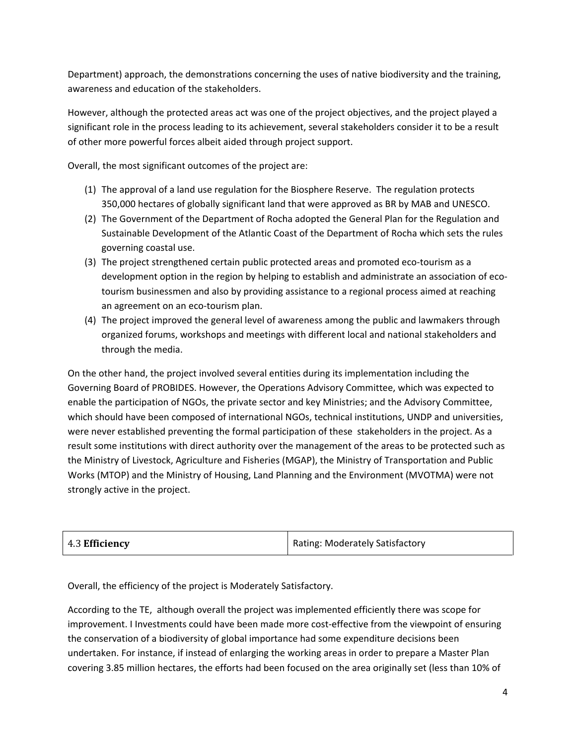Department) approach, the demonstrations concerning the uses of native biodiversity and the training, awareness and education of the stakeholders.

However, although the protected areas act was one of the project objectives, and the project played a significant role in the process leading to its achievement, several stakeholders consider it to be a result of other more powerful forces albeit aided through project support.

Overall, the most significant outcomes of the project are:

- (1) The approval of a land use regulation for the Biosphere Reserve. The regulation protects 350,000 hectares of globally significant land that were approved as BR by MAB and UNESCO.
- (2) The Government of the Department of Rocha adopted the General Plan for the Regulation and Sustainable Development of the Atlantic Coast of the Department of Rocha which sets the rules governing coastal use.
- (3) The project strengthened certain public protected areas and promoted eco-tourism as a development option in the region by helping to establish and administrate an association of ecotourism businessmen and also by providing assistance to a regional process aimed at reaching an agreement on an eco-tourism plan.
- (4) The project improved the general level of awareness among the public and lawmakers through organized forums, workshops and meetings with different local and national stakeholders and through the media.

On the other hand, the project involved several entities during its implementation including the Governing Board of PROBIDES. However, the Operations Advisory Committee, which was expected to enable the participation of NGOs, the private sector and key Ministries; and the Advisory Committee, which should have been composed of international NGOs, technical institutions, UNDP and universities, were never established preventing the formal participation of these stakeholders in the project. As a result some institutions with direct authority over the management of the areas to be protected such as the Ministry of Livestock, Agriculture and Fisheries (MGAP), the Ministry of Transportation and Public Works (MTOP) and the Ministry of Housing, Land Planning and the Environment (MVOTMA) were not strongly active in the project.

| 4.3 Efficiency | Rating: Moderately Satisfactory |
|----------------|---------------------------------|
|----------------|---------------------------------|

Overall, the efficiency of the project is Moderately Satisfactory.

According to the TE, although overall the project was implemented efficiently there was scope for improvement. I Investments could have been made more cost-effective from the viewpoint of ensuring the conservation of a biodiversity of global importance had some expenditure decisions been undertaken. For instance, if instead of enlarging the working areas in order to prepare a Master Plan covering 3.85 million hectares, the efforts had been focused on the area originally set (less than 10% of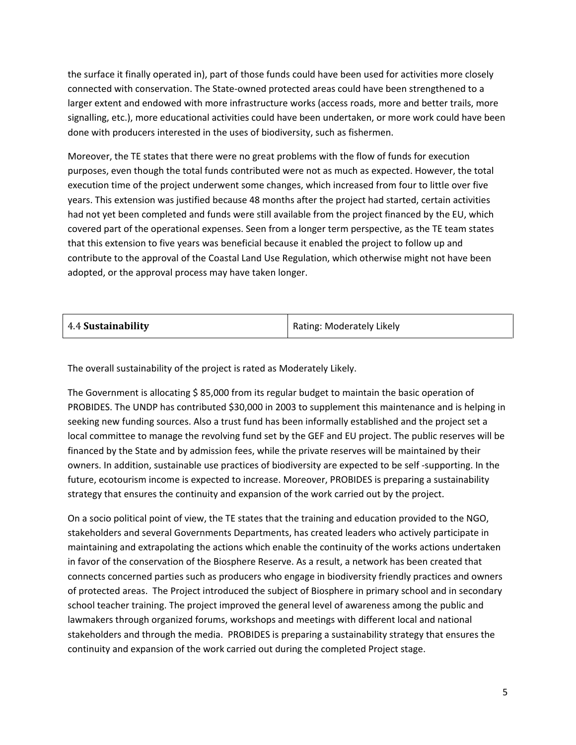the surface it finally operated in), part of those funds could have been used for activities more closely connected with conservation. The State-owned protected areas could have been strengthened to a larger extent and endowed with more infrastructure works (access roads, more and better trails, more signalling, etc.), more educational activities could have been undertaken, or more work could have been done with producers interested in the uses of biodiversity, such as fishermen.

Moreover, the TE states that there were no great problems with the flow of funds for execution purposes, even though the total funds contributed were not as much as expected. However, the total execution time of the project underwent some changes, which increased from four to little over five years. This extension was justified because 48 months after the project had started, certain activities had not yet been completed and funds were still available from the project financed by the EU, which covered part of the operational expenses. Seen from a longer term perspective, as the TE team states that this extension to five years was beneficial because it enabled the project to follow up and contribute to the approval of the Coastal Land Use Regulation, which otherwise might not have been adopted, or the approval process may have taken longer.

| 4.4 Sustainability | Rating: Moderately Likely |
|--------------------|---------------------------|
|--------------------|---------------------------|

The overall sustainability of the project is rated as Moderately Likely.

The Government is allocating \$85,000 from its regular budget to maintain the basic operation of PROBIDES. The UNDP has contributed \$30,000 in 2003 to supplement this maintenance and is helping in seeking new funding sources. Also a trust fund has been informally established and the project set a local committee to manage the revolving fund set by the GEF and EU project. The public reserves will be financed by the State and by admission fees, while the private reserves will be maintained by their owners. In addition, sustainable use practices of biodiversity are expected to be self -supporting. In the future, ecotourism income is expected to increase. Moreover, PROBIDES is preparing a sustainability strategy that ensures the continuity and expansion of the work carried out by the project.

On a socio political point of view, the TE states that the training and education provided to the NGO, stakeholders and several Governments Departments, has created leaders who actively participate in maintaining and extrapolating the actions which enable the continuity of the works actions undertaken in favor of the conservation of the Biosphere Reserve. As a result, a network has been created that connects concerned parties such as producers who engage in biodiversity friendly practices and owners of protected areas. The Project introduced the subject of Biosphere in primary school and in secondary school teacher training. The project improved the general level of awareness among the public and lawmakers through organized forums, workshops and meetings with different local and national stakeholders and through the media. PROBIDES is preparing a sustainability strategy that ensures the continuity and expansion of the work carried out during the completed Project stage.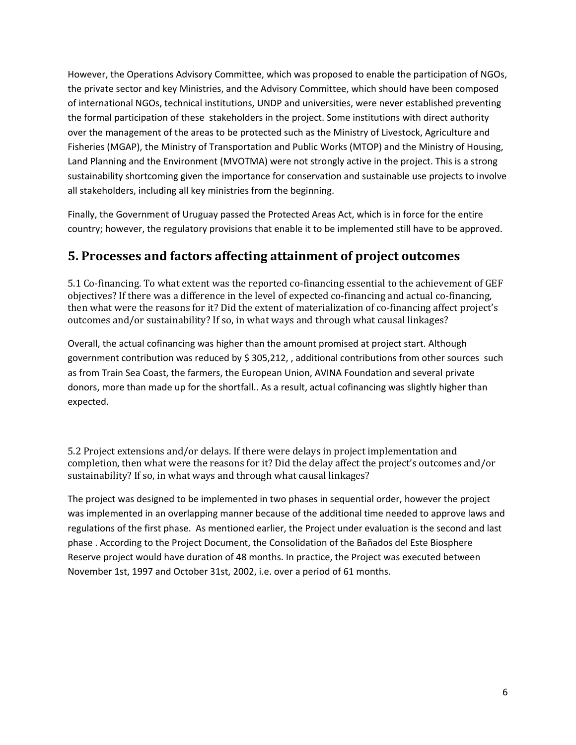However, the Operations Advisory Committee, which was proposed to enable the participation of NGOs, the private sector and key Ministries, and the Advisory Committee, which should have been composed of international NGOs, technical institutions, UNDP and universities, were never established preventing the formal participation of these stakeholders in the project. Some institutions with direct authority over the management of the areas to be protected such as the Ministry of Livestock, Agriculture and Fisheries (MGAP), the Ministry of Transportation and Public Works (MTOP) and the Ministry of Housing, Land Planning and the Environment (MVOTMA) were not strongly active in the project. This is a strong sustainability shortcoming given the importance for conservation and sustainable use projects to involve all stakeholders, including all key ministries from the beginning.

Finally, the Government of Uruguay passed the Protected Areas Act, which is in force for the entire country; however, the regulatory provisions that enable it to be implemented still have to be approved.

# **5. Processes and factors affecting attainment of project outcomes**

5.1 Co-financing. To what extent was the reported co-financing essential to the achievement of GEF objectives? If there was a difference in the level of expected co-financing and actual co-financing, then what were the reasons for it? Did the extent of materialization of co-financing affect project's outcomes and/or sustainability? If so, in what ways and through what causal linkages?

Overall, the actual cofinancing was higher than the amount promised at project start. Although government contribution was reduced by \$ 305,212, , additional contributions from other sources such as from Train Sea Coast, the farmers, the European Union, AVINA Foundation and several private donors, more than made up for the shortfall.. As a result, actual cofinancing was slightly higher than expected.

5.2 Project extensions and/or delays. If there were delays in project implementation and completion, then what were the reasons for it? Did the delay affect the project's outcomes and/or sustainability? If so, in what ways and through what causal linkages?

The project was designed to be implemented in two phases in sequential order, however the project was implemented in an overlapping manner because of the additional time needed to approve laws and regulations of the first phase. As mentioned earlier, the Project under evaluation is the second and last phase . According to the Project Document, the Consolidation of the Bañados del Este Biosphere Reserve project would have duration of 48 months. In practice, the Project was executed between November 1st, 1997 and October 31st, 2002, i.e. over a period of 61 months.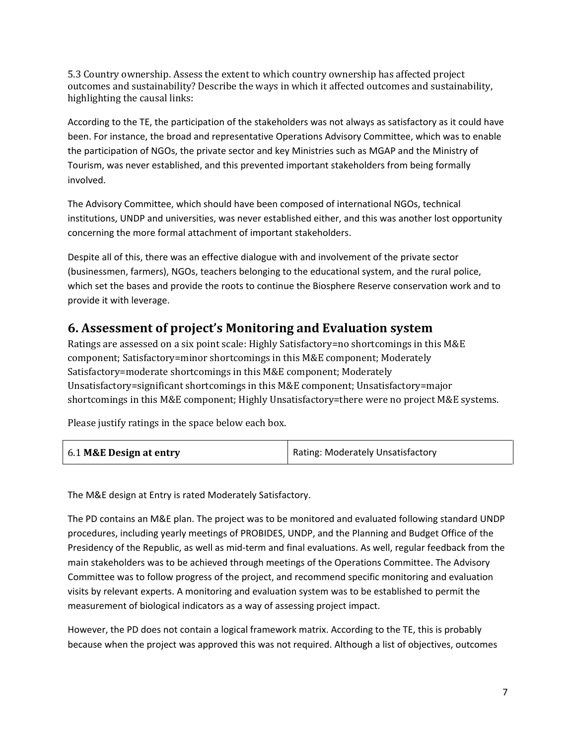5.3 Country ownership. Assess the extent to which country ownership has affected project outcomes and sustainability? Describe the ways in which it affected outcomes and sustainability, highlighting the causal links:

According to the TE, the participation of the stakeholders was not always as satisfactory as it could have been. For instance, the broad and representative Operations Advisory Committee, which was to enable the participation of NGOs, the private sector and key Ministries such as MGAP and the Ministry of Tourism, was never established, and this prevented important stakeholders from being formally involved.

The Advisory Committee, which should have been composed of international NGOs, technical institutions, UNDP and universities, was never established either, and this was another lost opportunity concerning the more formal attachment of important stakeholders.

Despite all of this, there was an effective dialogue with and involvement of the private sector (businessmen, farmers), NGOs, teachers belonging to the educational system, and the rural police, which set the bases and provide the roots to continue the Biosphere Reserve conservation work and to provide it with leverage.

## **6. Assessment of project's Monitoring and Evaluation system**

Ratings are assessed on a six point scale: Highly Satisfactory=no shortcomings in this M&E component; Satisfactory=minor shortcomings in this M&E component; Moderately Satisfactory=moderate shortcomings in this M&E component; Moderately Unsatisfactory=significant shortcomings in this M&E component; Unsatisfactory=major shortcomings in this M&E component; Highly Unsatisfactory=there were no project M&E systems.

Please justify ratings in the space below each box.

| 6.1 M&E Design at entry | Rating: Moderately Unsatisfactory |
|-------------------------|-----------------------------------|
|                         |                                   |

The M&E design at Entry is rated Moderately Satisfactory.

The PD contains an M&E plan. The project was to be monitored and evaluated following standard UNDP procedures, including yearly meetings of PROBIDES, UNDP, and the Planning and Budget Office of the Presidency of the Republic, as well as mid-term and final evaluations. As well, regular feedback from the main stakeholders was to be achieved through meetings of the Operations Committee. The Advisory Committee was to follow progress of the project, and recommend specific monitoring and evaluation visits by relevant experts. A monitoring and evaluation system was to be established to permit the measurement of biological indicators as a way of assessing project impact.

However, the PD does not contain a logical framework matrix. According to the TE, this is probably because when the project was approved this was not required. Although a list of objectives, outcomes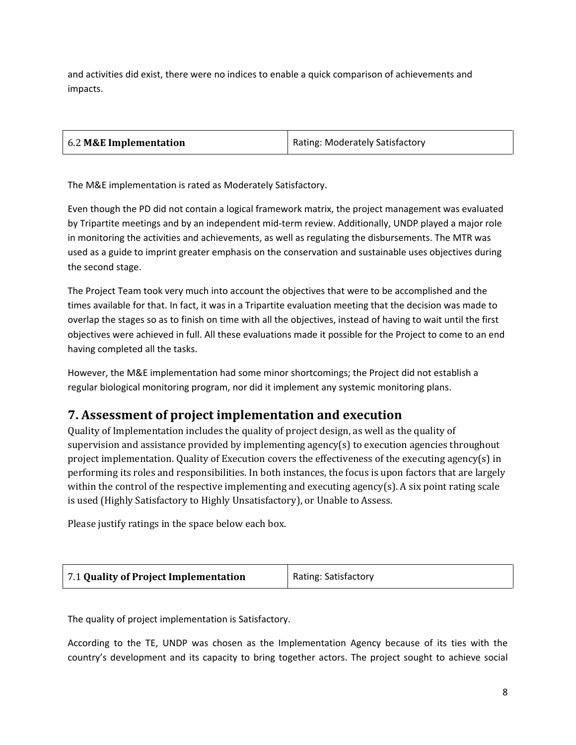and activities did exist, there were no indices to enable a quick comparison of achievements and impacts.

| 6.2 M&E Implementation | Rating: Moderately Satisfactory |
|------------------------|---------------------------------|
|                        |                                 |

The M&E implementation is rated as Moderately Satisfactory.

Even though the PD did not contain a logical framework matrix, the project management was evaluated by Tripartite meetings and by an independent mid-term review. Additionally, UNDP played a major role in monitoring the activities and achievements, as well as regulating the disbursements. The MTR was used as a guide to imprint greater emphasis on the conservation and sustainable uses objectives during the second stage.

The Project Team took very much into account the objectives that were to be accomplished and the times available for that. In fact, it was in a Tripartite evaluation meeting that the decision was made to overlap the stages so as to finish on time with all the objectives, instead of having to wait until the first objectives were achieved in full. All these evaluations made it possible for the Project to come to an end having completed all the tasks.

However, the M&E implementation had some minor shortcomings; the Project did not establish a regular biological monitoring program, nor did it implement any systemic monitoring plans.

## **7. Assessment of project implementation and execution**

Quality of Implementation includes the quality of project design, as well as the quality of supervision and assistance provided by implementing agency(s) to execution agencies throughout project implementation. Quality of Execution covers the effectiveness of the executing agency(s) in performing its roles and responsibilities. In both instances, the focus is upon factors that are largely within the control of the respective implementing and executing agency(s). A six point rating scale is used (Highly Satisfactory to Highly Unsatisfactory), or Unable to Assess.

Please justify ratings in the space below each box.

| 7.1 Quality of Project Implementation | Rating: Satisfactory |
|---------------------------------------|----------------------|
|---------------------------------------|----------------------|

The quality of project implementation is Satisfactory.

According to the TE, UNDP was chosen as the Implementation Agency because of its ties with the country's development and its capacity to bring together actors. The project sought to achieve social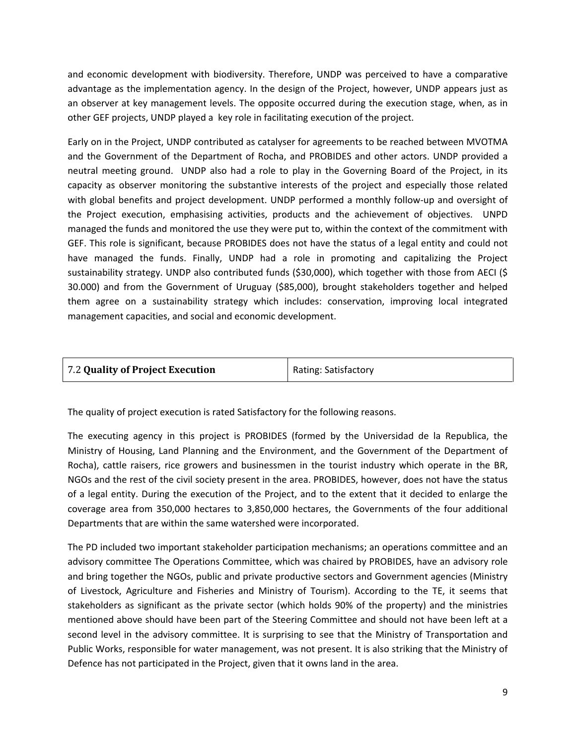and economic development with biodiversity. Therefore, UNDP was perceived to have a comparative advantage as the implementation agency. In the design of the Project, however, UNDP appears just as an observer at key management levels. The opposite occurred during the execution stage, when, as in other GEF projects, UNDP played a key role in facilitating execution of the project.

Early on in the Project, UNDP contributed as catalyser for agreements to be reached between MVOTMA and the Government of the Department of Rocha, and PROBIDES and other actors. UNDP provided a neutral meeting ground. UNDP also had a role to play in the Governing Board of the Project, in its capacity as observer monitoring the substantive interests of the project and especially those related with global benefits and project development. UNDP performed a monthly follow-up and oversight of the Project execution, emphasising activities, products and the achievement of objectives. UNPD managed the funds and monitored the use they were put to, within the context of the commitment with GEF. This role is significant, because PROBIDES does not have the status of a legal entity and could not have managed the funds. Finally, UNDP had a role in promoting and capitalizing the Project sustainability strategy. UNDP also contributed funds (\$30,000), which together with those from AECI (\$ 30.000) and from the Government of Uruguay (\$85,000), brought stakeholders together and helped them agree on a sustainability strategy which includes: conservation, improving local integrated management capacities, and social and economic development.

| 7.2 Quality of Project Execution | Rating: Satisfactory |
|----------------------------------|----------------------|
|                                  |                      |

The quality of project execution is rated Satisfactory for the following reasons.

The executing agency in this project is PROBIDES (formed by the Universidad de la Republica, the Ministry of Housing, Land Planning and the Environment, and the Government of the Department of Rocha), cattle raisers, rice growers and businessmen in the tourist industry which operate in the BR, NGOs and the rest of the civil society present in the area. PROBIDES, however, does not have the status of a legal entity. During the execution of the Project, and to the extent that it decided to enlarge the coverage area from 350,000 hectares to 3,850,000 hectares, the Governments of the four additional Departments that are within the same watershed were incorporated.

The PD included two important stakeholder participation mechanisms; an operations committee and an advisory committee The Operations Committee, which was chaired by PROBIDES, have an advisory role and bring together the NGOs, public and private productive sectors and Government agencies (Ministry of Livestock, Agriculture and Fisheries and Ministry of Tourism). According to the TE, it seems that stakeholders as significant as the private sector (which holds 90% of the property) and the ministries mentioned above should have been part of the Steering Committee and should not have been left at a second level in the advisory committee. It is surprising to see that the Ministry of Transportation and Public Works, responsible for water management, was not present. It is also striking that the Ministry of Defence has not participated in the Project, given that it owns land in the area.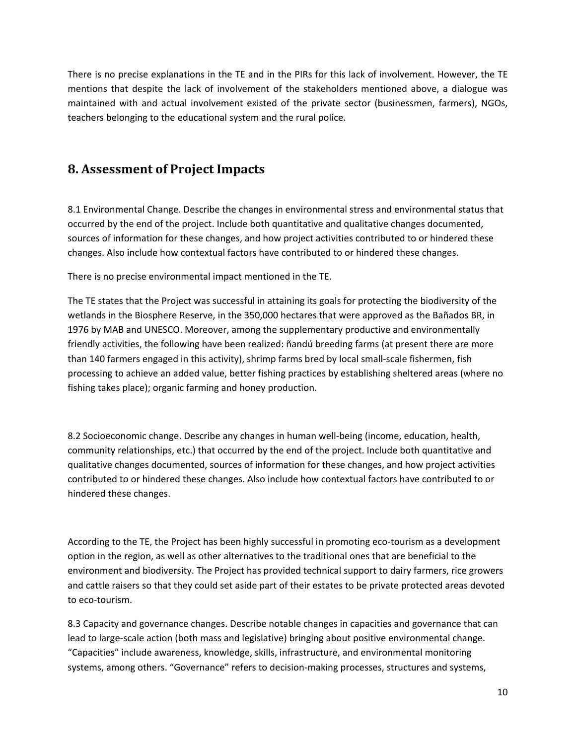There is no precise explanations in the TE and in the PIRs for this lack of involvement. However, the TE mentions that despite the lack of involvement of the stakeholders mentioned above, a dialogue was maintained with and actual involvement existed of the private sector (businessmen, farmers), NGOs, teachers belonging to the educational system and the rural police.

### **8. Assessment of Project Impacts**

8.1 Environmental Change. Describe the changes in environmental stress and environmental status that occurred by the end of the project. Include both quantitative and qualitative changes documented, sources of information for these changes, and how project activities contributed to or hindered these changes. Also include how contextual factors have contributed to or hindered these changes.

There is no precise environmental impact mentioned in the TE.

The TE states that the Project was successful in attaining its goals for protecting the biodiversity of the wetlands in the Biosphere Reserve, in the 350,000 hectares that were approved as the Bañados BR, in 1976 by MAB and UNESCO. Moreover, among the supplementary productive and environmentally friendly activities, the following have been realized: ñandú breeding farms (at present there are more than 140 farmers engaged in this activity), shrimp farms bred by local small-scale fishermen, fish processing to achieve an added value, better fishing practices by establishing sheltered areas (where no fishing takes place); organic farming and honey production.

8.2 Socioeconomic change. Describe any changes in human well-being (income, education, health, community relationships, etc.) that occurred by the end of the project. Include both quantitative and qualitative changes documented, sources of information for these changes, and how project activities contributed to or hindered these changes. Also include how contextual factors have contributed to or hindered these changes.

According to the TE, the Project has been highly successful in promoting eco-tourism as a development option in the region, as well as other alternatives to the traditional ones that are beneficial to the environment and biodiversity. The Project has provided technical support to dairy farmers, rice growers and cattle raisers so that they could set aside part of their estates to be private protected areas devoted to eco-tourism.

8.3 Capacity and governance changes. Describe notable changes in capacities and governance that can lead to large-scale action (both mass and legislative) bringing about positive environmental change. "Capacities" include awareness, knowledge, skills, infrastructure, and environmental monitoring systems, among others. "Governance" refers to decision-making processes, structures and systems,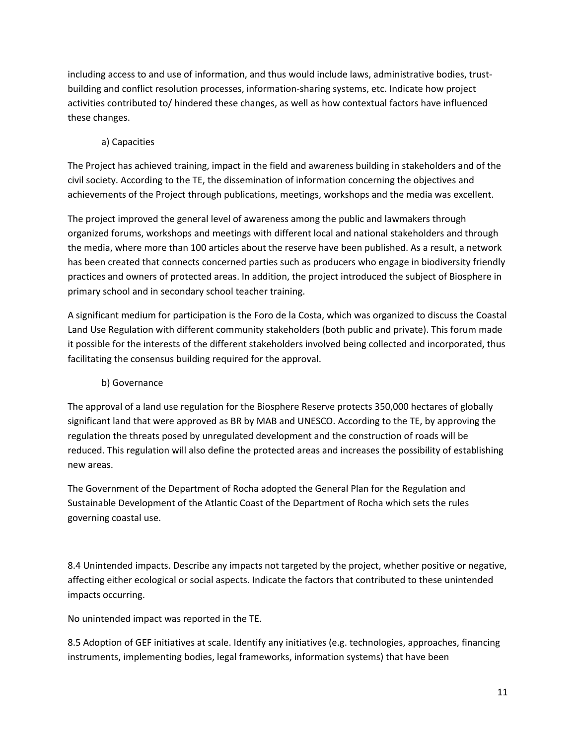including access to and use of information, and thus would include laws, administrative bodies, trustbuilding and conflict resolution processes, information-sharing systems, etc. Indicate how project activities contributed to/ hindered these changes, as well as how contextual factors have influenced these changes.

#### a) Capacities

The Project has achieved training, impact in the field and awareness building in stakeholders and of the civil society. According to the TE, the dissemination of information concerning the objectives and achievements of the Project through publications, meetings, workshops and the media was excellent.

The project improved the general level of awareness among the public and lawmakers through organized forums, workshops and meetings with different local and national stakeholders and through the media, where more than 100 articles about the reserve have been published. As a result, a network has been created that connects concerned parties such as producers who engage in biodiversity friendly practices and owners of protected areas. In addition, the project introduced the subject of Biosphere in primary school and in secondary school teacher training.

A significant medium for participation is the Foro de la Costa, which was organized to discuss the Coastal Land Use Regulation with different community stakeholders (both public and private). This forum made it possible for the interests of the different stakeholders involved being collected and incorporated, thus facilitating the consensus building required for the approval.

#### b) Governance

The approval of a land use regulation for the Biosphere Reserve protects 350,000 hectares of globally significant land that were approved as BR by MAB and UNESCO. According to the TE, by approving the regulation the threats posed by unregulated development and the construction of roads will be reduced. This regulation will also define the protected areas and increases the possibility of establishing new areas.

The Government of the Department of Rocha adopted the General Plan for the Regulation and Sustainable Development of the Atlantic Coast of the Department of Rocha which sets the rules governing coastal use.

8.4 Unintended impacts. Describe any impacts not targeted by the project, whether positive or negative, affecting either ecological or social aspects. Indicate the factors that contributed to these unintended impacts occurring.

No unintended impact was reported in the TE.

8.5 Adoption of GEF initiatives at scale. Identify any initiatives (e.g. technologies, approaches, financing instruments, implementing bodies, legal frameworks, information systems) that have been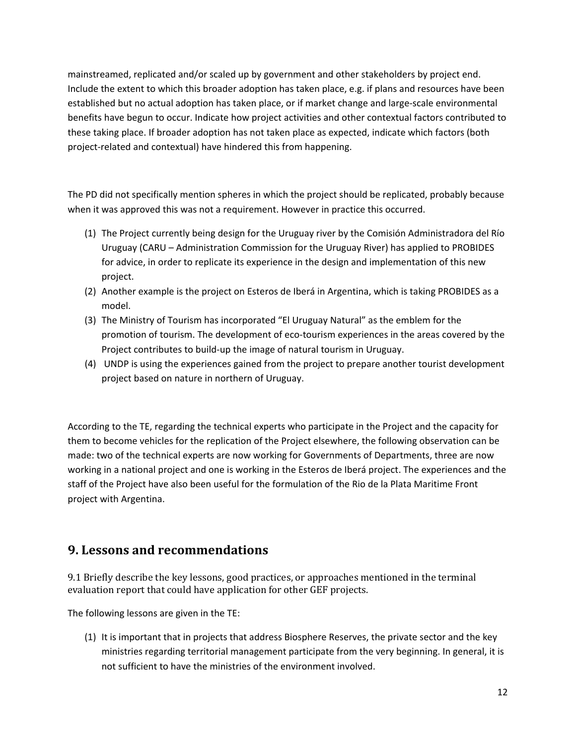mainstreamed, replicated and/or scaled up by government and other stakeholders by project end. Include the extent to which this broader adoption has taken place, e.g. if plans and resources have been established but no actual adoption has taken place, or if market change and large-scale environmental benefits have begun to occur. Indicate how project activities and other contextual factors contributed to these taking place. If broader adoption has not taken place as expected, indicate which factors (both project-related and contextual) have hindered this from happening.

The PD did not specifically mention spheres in which the project should be replicated, probably because when it was approved this was not a requirement. However in practice this occurred.

- (1) The Project currently being design for the Uruguay river by the Comisión Administradora del Río Uruguay (CARU – Administration Commission for the Uruguay River) has applied to PROBIDES for advice, in order to replicate its experience in the design and implementation of this new project.
- (2) Another example is the project on Esteros de Iberá in Argentina, which is taking PROBIDES as a model.
- (3) The Ministry of Tourism has incorporated "El Uruguay Natural" as the emblem for the promotion of tourism. The development of eco-tourism experiences in the areas covered by the Project contributes to build-up the image of natural tourism in Uruguay.
- (4) UNDP is using the experiences gained from the project to prepare another tourist development project based on nature in northern of Uruguay.

According to the TE, regarding the technical experts who participate in the Project and the capacity for them to become vehicles for the replication of the Project elsewhere, the following observation can be made: two of the technical experts are now working for Governments of Departments, three are now working in a national project and one is working in the Esteros de Iberá project. The experiences and the staff of the Project have also been useful for the formulation of the Rio de la Plata Maritime Front project with Argentina.

## **9. Lessons and recommendations**

9.1 Briefly describe the key lessons, good practices, or approaches mentioned in the terminal evaluation report that could have application for other GEF projects.

The following lessons are given in the TE:

(1) It is important that in projects that address Biosphere Reserves, the private sector and the key ministries regarding territorial management participate from the very beginning. In general, it is not sufficient to have the ministries of the environment involved.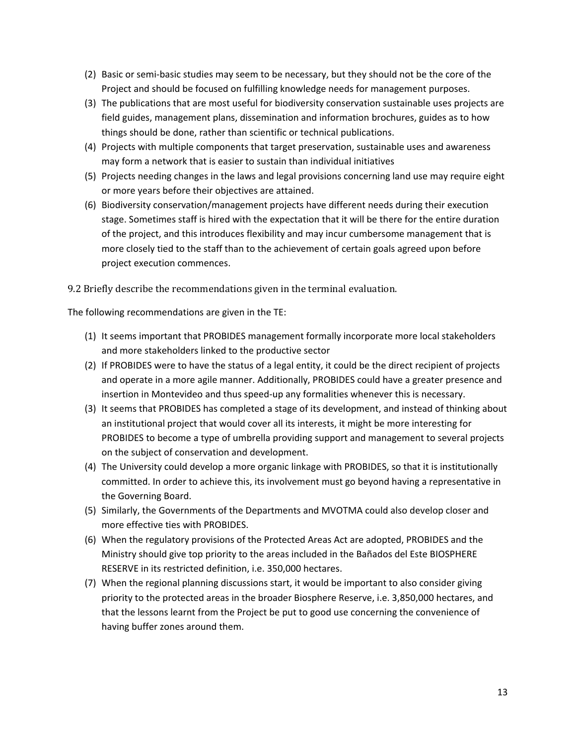- (2) Basic or semi-basic studies may seem to be necessary, but they should not be the core of the Project and should be focused on fulfilling knowledge needs for management purposes.
- (3) The publications that are most useful for biodiversity conservation sustainable uses projects are field guides, management plans, dissemination and information brochures, guides as to how things should be done, rather than scientific or technical publications.
- (4) Projects with multiple components that target preservation, sustainable uses and awareness may form a network that is easier to sustain than individual initiatives
- (5) Projects needing changes in the laws and legal provisions concerning land use may require eight or more years before their objectives are attained.
- (6) Biodiversity conservation/management projects have different needs during their execution stage. Sometimes staff is hired with the expectation that it will be there for the entire duration of the project, and this introduces flexibility and may incur cumbersome management that is more closely tied to the staff than to the achievement of certain goals agreed upon before project execution commences.

9.2 Briefly describe the recommendations given in the terminal evaluation.

The following recommendations are given in the TE:

- (1) It seems important that PROBIDES management formally incorporate more local stakeholders and more stakeholders linked to the productive sector
- (2) If PROBIDES were to have the status of a legal entity, it could be the direct recipient of projects and operate in a more agile manner. Additionally, PROBIDES could have a greater presence and insertion in Montevideo and thus speed-up any formalities whenever this is necessary.
- (3) It seems that PROBIDES has completed a stage of its development, and instead of thinking about an institutional project that would cover all its interests, it might be more interesting for PROBIDES to become a type of umbrella providing support and management to several projects on the subject of conservation and development.
- (4) The University could develop a more organic linkage with PROBIDES, so that it is institutionally committed. In order to achieve this, its involvement must go beyond having a representative in the Governing Board.
- (5) Similarly, the Governments of the Departments and MVOTMA could also develop closer and more effective ties with PROBIDES.
- (6) When the regulatory provisions of the Protected Areas Act are adopted, PROBIDES and the Ministry should give top priority to the areas included in the Bañados del Este BIOSPHERE RESERVE in its restricted definition, i.e. 350,000 hectares.
- (7) When the regional planning discussions start, it would be important to also consider giving priority to the protected areas in the broader Biosphere Reserve, i.e. 3,850,000 hectares, and that the lessons learnt from the Project be put to good use concerning the convenience of having buffer zones around them.